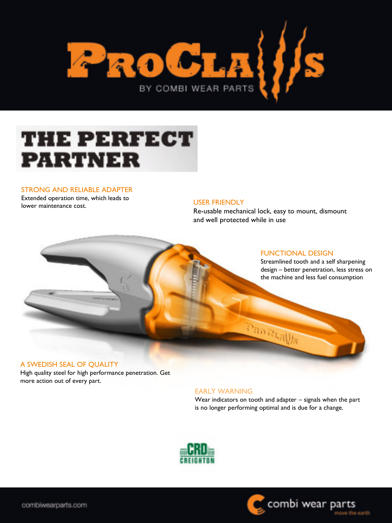

## **THE PERFECT PARTNER**

#### STRONG AND RELIABLE ADAPTER

Extended operation time, which leads to lower maintenance cost.

#### USER FRIENDLY

Re-usable mechanical lock, easy to mount, dismount and well protected while in use



#### A SWEDISH SEAL OF QUALITY

High quality steel for high performance penetration. Get more action out of every part.

#### EARLY WARNING

Wear indicators on tooth and adapter – signals when the part is no longer performing optimal and is due for a change.



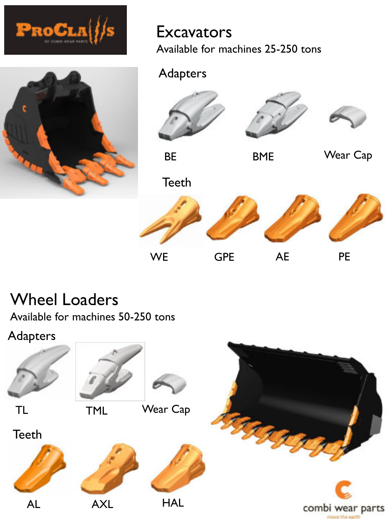



## **Excavators** Available for machines 25-250 tons

## Adapters



BE BME





Wear Cap



# Wheel Loaders

Available for machines 50-250 tons

## Adapters

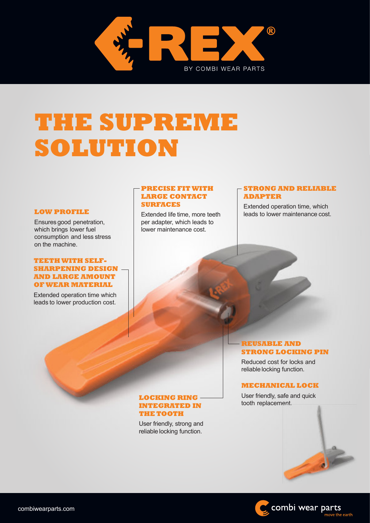

# **THE SUPREME SOLUTION**

#### **LOW PROFILE**

Ensuresgood penetration, which brings lower fuel consumption and less stress on the machine.

### **TEETHWITH SELF-SHARPENING DESIGN AND LARGE AMOUNT OFWEAR MATERIAL**

Extended operation time which leads to lower production cost.

### **PRECISE FITWITH LARGE CONTACT SURFACES**

Extended life time, more teeth per adapter, which leads to lower maintenance cost.

### **STRONG AND RELIABLE ADAPTER**

Extended operation time, which leads to lower maintenance cost.

### **REUSABLE AND STRONG LOCKING PIN**

Reduced cost for locks and reliable locking function.

### **MECHANICAL LOCK**

User friendly, safe and quick tooth replacement.

### **LOCKING RING INTEGRATED IN THE TOOTH**

User friendly, strong and reliable locking function.



move the earth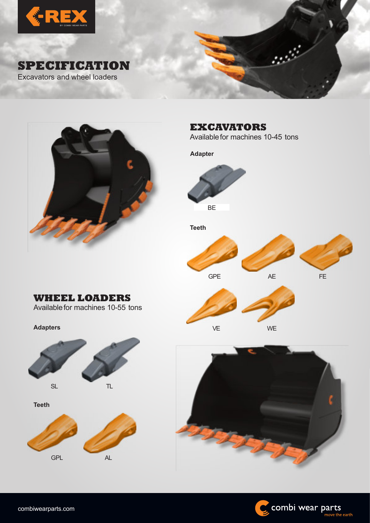





**EXCAVATORS**

VE

Availablefor machines 10-45 tons

**Adapter Teeth** GPE BE FE AE

WE

**Adapters**



**WHEEL LOADERS** Availablefor machines 10-55 tons

**Teeth**





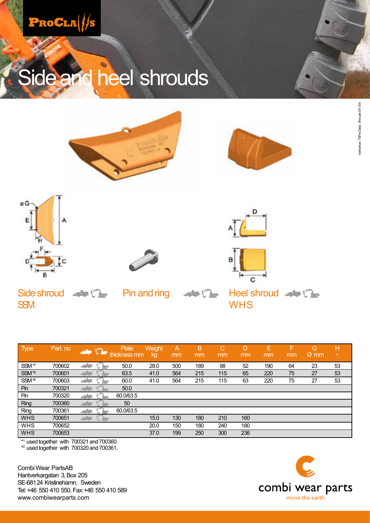

# Side and heel shrouds











Side shroud water De Pin and ring water De Heel shroud water De-SSM WHS

| <b>Type</b>       | Part. no | M            | Plate<br>thickness mm | Weight<br>kg | A<br>mm | B<br>mm | С<br>mm | D<br>mm | Е<br>mm | F<br>mm | G,<br>$\varnothing$ mm | н<br>$\circ$ |
|-------------------|----------|--------------|-----------------------|--------------|---------|---------|---------|---------|---------|---------|------------------------|--------------|
| SSM <sup>*1</sup> | 700602   | تزالون       | 50.0                  | 28.0         | 500     | 189     | 98      | 52      | 190     | 64      | 23                     | 53           |
| SSM <sup>*2</sup> | 700601   |              | 63.5                  | 41.0         | 564     | 215     | 115     | 65      | 220     | 75      | 27                     | 53           |
| SSM <sup>*2</sup> | 700603   | v M          | 60.0<br><b>April</b>  | 41.0         | 564     | 215     | 115     | 63      | 220     | 75      | 27                     | 53           |
| Pin               | 700321   | $\mathbf{r}$ | 50.0                  |              |         |         |         |         |         |         |                        |              |
| Pin               | 700320   |              | 60.0/63.5             |              |         |         |         |         |         |         |                        |              |
| Ring              | 700360   | والرد        | 50                    |              |         |         |         |         |         |         |                        |              |
| Ring              | 700361   | تزالون       | 60.0/63.5             |              |         |         |         |         |         |         |                        |              |
| <b>WHS</b>        | 700651   |              | ◟▴                    | 15.0         | 130     | 180     | 210     | 160     |         |         |                        |              |
| <b>WHS</b>        | 700652   |              |                       | 20.0         | 150     | 180     | 240     | 180     |         |         |                        |              |
| <b>WHS</b>        | 700653   |              |                       | 37.0         | 199     | 250     | 300     | 236     |         |         |                        |              |

\* <sup>1</sup> used together with 700321 and700360.

\* <sup>2</sup> usedtogether with 700320 and700361.

Combi Wear PartsAB Hantverkargatan 3, Box 205 SE-68124 Kristinehamn, Sweden Tel: +46 550 410 550. Fax:+46 550 410 589 www.combiwearparts.com

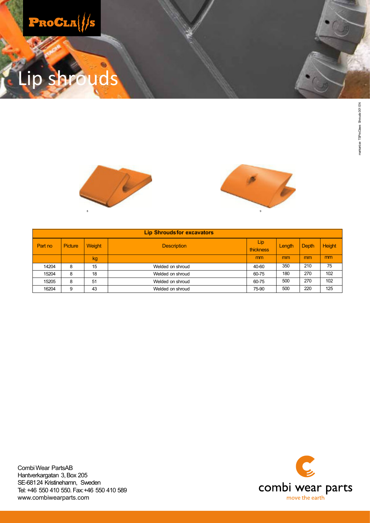

# ds





|         | <b>Lip Shroudsfor excavators</b> |        |                    |                  |        |       |                |  |  |  |  |  |
|---------|----------------------------------|--------|--------------------|------------------|--------|-------|----------------|--|--|--|--|--|
| Part no | <b>Picture</b>                   | Weight | <b>Description</b> | Lip<br>thickness | Length | Depth | <b>Height</b>  |  |  |  |  |  |
|         |                                  | kg     |                    | m <sub>m</sub>   | mm     | mm    | m <sub>m</sub> |  |  |  |  |  |
| 14204   | 8                                | 15     | Welded on shroud   | 40-60            | 350    | 210   | 75             |  |  |  |  |  |
| 15204   | 8                                | 18     | Welded on shroud   | 60-75            | 180    | 270   | 102            |  |  |  |  |  |
| 15205   | 8                                | 51     | Welded on shroud   | 60-75            | 500    | 270   | 102            |  |  |  |  |  |
| 16204   | 9                                | 43     | Welded on shroud   | 75-90            | 500    | 220   | 125            |  |  |  |  |  |



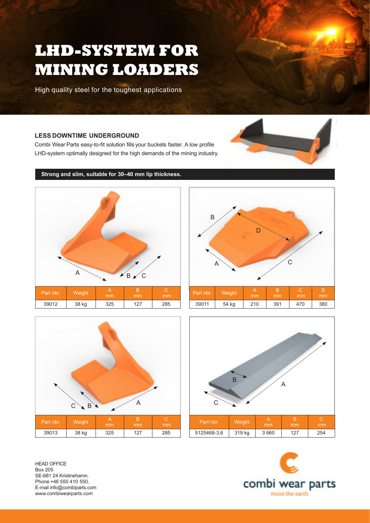# **LHD-SYSTEM FOR MINING LOADERS**

High quality steel for the toughest applications

### **LESS DOWNTIME UNDERGROUND**

Combi Wear Parts easy-to-fit solution fills your buckets faster. A low profile LHD-system optimally designed for the high demands of the mining industry.



**Strong and slim, suitable for 30–40 mm lip thickness.**



Part nbr. Weight A 39011 | 54 kg | 210 | 391 | 470 | 380 A B C D



HEAD OFFICE Box 205 SE-681 24 Kristinehamn. Phone +46 550 410 550. E-mail info@combiparts.com www.combiwearparts.com









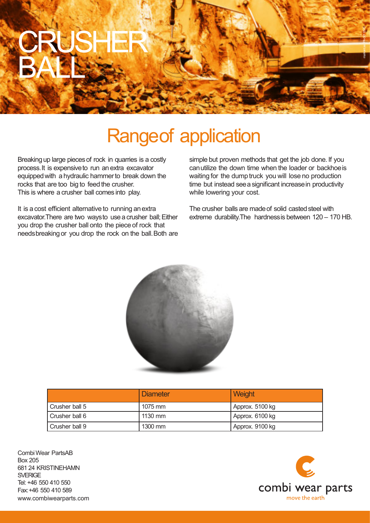

# Rangeof application

Breakingup large piecesof rock in quarries is a costly process.It is expensiveto run an extra excavator equipped with a hydraulic hammer to break down the rocks that are too big to feed the crusher. This is where a crusher ball comes into play.

It is a cost efficient alternative to running anextra excavator.There are two waysto usea crusher ball;Either you drop the crusher ball onto the piece of rock that needsbreakingor you drop the rock on the ball.Both are simple but proven methods that get the job done. If you canutilize the down time when the loader or backhoeis waiting for the dump truck you will lose no production time but instead see a significant increase in productivity while lowering your cost.

The crusher balls are made of solid casted steel with extreme durability.The hardnessis between 120 – 170 HB.



|                | Diameter  | Weight          |
|----------------|-----------|-----------------|
| Crusher ball 5 | 1075 mm   | Approx. 5100 kg |
| Crusher ball 6 | $1130$ mm | Approx. 6100 kg |
| Crusher ball 9 | 1300 mm   | Approx. 9100 kg |

www.combiwearparts.com Combi Wear PartsAB Box 205 681 24 KRISTINEHAMN **SVERIGE** Tel: +46 550 410 550 Fax:+46 550 410 589

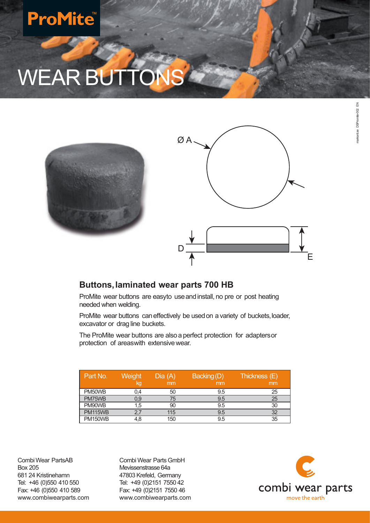# **ProMite**

# WEAR BUTTON





## **Buttons,laminated wear parts 700 HB**

ProMite wear buttons are easyto use and install, no pre or post heating needed when welding.

ProMite wear buttons can effectively be used on a variety of buckets, loader, excavator or drag line buckets.

The ProMite wear buttons are alsoa perfect protection for adaptersor protection of areaswith extensivewear.

| Part No.       | Weight<br>kg | Dia(A)<br>mm | Backing (D)<br>mm | Thickness (E)<br>mm |
|----------------|--------------|--------------|-------------------|---------------------|
| PM50WB         | 0,4          | 50           | 9.5               | 25                  |
| PM75WB         | 0.9          | 75           | 9.5               | 25                  |
| PM90WB         | 1,5          | 90           | 9.5               | 30                  |
| <b>PM115WB</b> | 2,7          | 115          | 9.5               | 32                  |
| <b>PM150WB</b> | 4.8          | 150          | 9.5               | 35                  |

CombiWear PartsAB Box 205 681 24 Kristinehamn Tel: +46 (0)550 410 550 Fax: +46 (0)550 410 589 www.combiwearparts.com

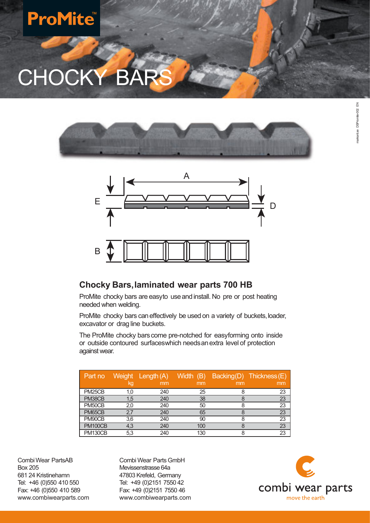# **ProMite**

CHOCKY B





## **Chocky Bars,laminated wear parts 700 HB**

ProMite chocky bars are easyto useandinstall. No pre or post heating needed when welding.

ProMite chocky bars can effectively be used on a variety of buckets, loader, excavator or drag line buckets.

The ProMite chocky bars come pre-notched for easyforming onto inside or outside contoured surfaceswhich needsanextra level of protection against wear.

| Part no             | kg  | Weight Length (A)<br>mm | Width (B)<br>mm | mm | Backing(D) Thickness(E)<br>mm |
|---------------------|-----|-------------------------|-----------------|----|-------------------------------|
| PM <sub>25</sub> CB | 1.0 | 240                     | 25              |    | 23                            |
| PM38CB              | 1,5 | 240                     | 38              |    | 23                            |
| PM50CB              | 2,0 | 240                     | 50              |    | 23                            |
| PM65CB              | 2,7 | 240                     | 65              |    | 23                            |
| PM90CB              | 3,6 | 240                     | 90              |    | 23                            |
| <b>PM100CB</b>      | 4,3 | 240                     | 100             |    | 23                            |
| <b>PM130CB</b>      | 5.3 | 240                     | 130             |    | 23                            |

CombiWear PartsAB Box 205 681 24 Kristinehamn Tel: +46 (0)550 410 550 Fax: +46 (0)550 410 589 www.combiwearparts.com

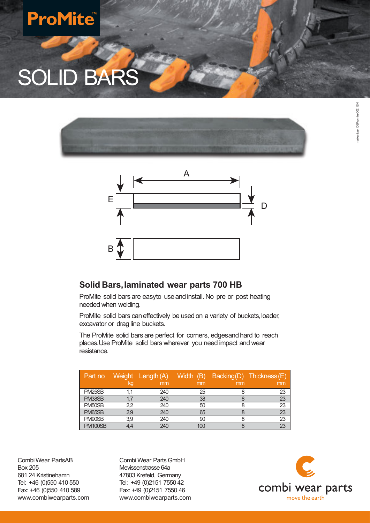# **ProMite**

# SOLID BARS





## **Solid Bars,laminated wear parts 700 HB**

ProMite solid bars are easyto use and install. No pre or post heating needed when welding.

ProMite solid bars can effectively be used on a variety of buckets, loader, excavator or drag line buckets.

The ProMite solid bars are perfect for corners, edgesand hard to reach places.Use ProMite solid bars wherever you need impact and wear resistance.

| Part no             | kg            | Weight Length (A)<br>mm | Width (B)<br>mm | mm | Backing(D) Thickness(E)<br>mm |
|---------------------|---------------|-------------------------|-----------------|----|-------------------------------|
| PM <sub>25</sub> SB |               | 240                     | 25              |    | 23                            |
| PM38SB              |               | 240                     | 38              |    | 23                            |
| PM <sub>50</sub> SB | 2,2           | 240                     | 50              |    | 23                            |
| PM65SB              | $2.9^{\circ}$ | 240                     | 65              |    | 23                            |
| PM90SB              | 3.9           | 240                     | 90              |    | 23                            |
| <b>PM100SB</b>      | 4.4           | 240                     |                 |    | 23                            |

CombiWear PartsAB Box 205 681 24 Kristinehamn Tel: +46 (0)550 410 550 Fax: +46 (0)550 410 589 www.combiwearparts.com

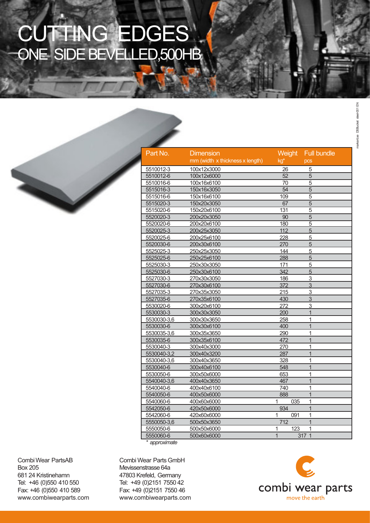# CUTTING EDGES ONE SIDE BEVELLED,500HB



| Part No.    | Dimension                       | Weight         |       | <b>Full bundle</b> |
|-------------|---------------------------------|----------------|-------|--------------------|
|             | mm (width x thickness x length) | kg*            |       | pcs                |
| 5510012-3   | 100x12x3000                     | 26             |       | 5                  |
| 5510012-6   | 100x12x6000                     | 52             |       | $\overline{5}$     |
| 5510016-6   | 100x16x6100                     | 70             |       | $\overline{5}$     |
| 5515016-3   | 150x16x3050                     | 54             |       | $\overline{5}$     |
| 5515016-6   | 150x16x6100                     | 109            |       | $\overline{5}$     |
| 5515020-3   | 150x20x3050                     | 67             |       | $\overline{5}$     |
| 5515020-6   | 150x20x6100                     | 131            |       | $\overline{5}$     |
| 5520020-3   | 200x20x3050                     | 90             |       | $\overline{5}$     |
| 5520020-6   | 200x20x6100                     | 180            |       | $\overline{5}$     |
| 5520025-3   | 200x25x3050                     | 112            |       | $\overline{5}$     |
| 5520025-6   | 200x25x6100                     | 228            |       | 5                  |
| 5520030-6   | 200x30x6100                     | 270            |       | 5                  |
| 5525025-3   | 250x25x3050                     | 144            |       | 5                  |
| 5525025-6   | 250x25x6100                     | 288            |       | $\overline{5}$     |
| 5525030-3   | 250x30x3050                     | 171            |       | 5                  |
| 5525030-6   | 250x30x6100                     | 342            |       | 5                  |
| 5527030-3   | 270x30x3050                     | 186            |       | 3                  |
| 5527030-6   | 270x30x6100                     | 372            |       | 3                  |
| 5527035-3   | 270x35x3050                     | 215            |       | $\overline{3}$     |
| 5527035-6   | 270x35x6100                     | 430            |       | 3                  |
| 5530020-6   | 300x20x6100                     | 272            |       | 3                  |
| 5530030-3   | 300x30x3050                     | 200            |       | $\mathbf{1}$       |
| 5530030-3.6 | 300x30x3650                     | 258            |       | 1                  |
| 5530030-6   | 300x30x6100                     | 400            |       | $\overline{1}$     |
| 5530035-3,6 | 300x35x3650                     | 290            |       | $\overline{1}$     |
| 5530035-6   | 300x35x6100                     | 472            |       | $\mathbf{1}$       |
| 5530040-3   | 300x40x3000                     | 270            |       | 1                  |
| 5530040-3,2 | 300x40x3200                     | 287            |       | $\overline{1}$     |
| 5530040-3,6 | 300x40x3650                     | 328            |       | $\mathbf{1}$       |
| 5530040-6   | 300x40x6100                     | 548            |       | $\overline{1}$     |
| 5530050-6   | 300x50x6000                     | 653            |       | $\overline{1}$     |
| 5540040-3,6 | 400x40x3650                     | 467            |       | $\overline{1}$     |
| 5540040-6   | 400x40x6100                     | 740            |       | 1                  |
| 5540050-6   | 400x50x6000                     | 888            |       | $\overline{1}$     |
| 5540060-6   | 400x60x6000                     | $\mathbf{1}$   | 035   | $\overline{1}$     |
| 5542050-6   | 420x50x6000                     | 934            |       | $\overline{1}$     |
| 5542060-6   | 420x60x6000                     | 1              | 091   | 1                  |
| 5550050-3,6 | 500x50x3650                     | 712            |       | $\overline{1}$     |
| 5550050-6   | 500x50x6000                     | 1              | 123   | $\overline{1}$     |
| 5550060-6   | 500x60x6000                     | $\overline{1}$ | 317 1 |                    |

*\* approximate*

CombiWear PartsAB Box 205 681 24 Kristinehamn Tel: +46 (0)550 410 550 Fax: +46 (0)550 410 589 www.combiwearparts.com

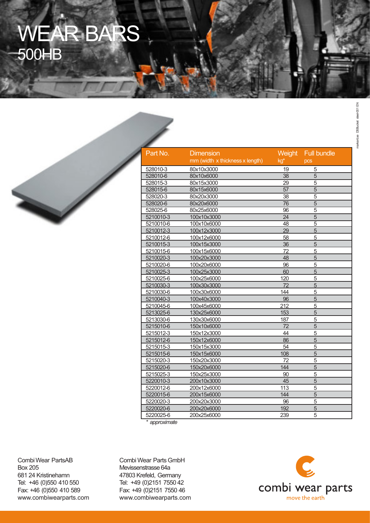# WEAR BARS 500HB



| Part No.  | <b>Dimension</b>                | Weight          | <b>Full bundle</b> |  |
|-----------|---------------------------------|-----------------|--------------------|--|
|           | mm (width x thickness x length) | kg*             | <b>DCS</b>         |  |
| 528010-3  | 80x10x3000                      | 19              | 5                  |  |
| 528010-6  | 80x10x6000                      | 38              | $\overline{5}$     |  |
| 528015-3  | 80x15x3000                      | $\overline{29}$ | $\overline{5}$     |  |
| 528015-6  | 80x15x6000                      | $\overline{57}$ | $\overline{5}$     |  |
| 528020-3  | 80x20x3000                      | $\overline{38}$ | $\overline{5}$     |  |
| 528020-6  | 80x20x6000                      | $\overline{76}$ | $\overline{5}$     |  |
| 528025-6  | 80x25x6000                      | 96              | $\overline{5}$     |  |
| 5210010-3 | 100x10x3000                     | $\overline{24}$ | $\overline{5}$     |  |
| 5210010-6 | 100x10x6000                     | 48              | $\overline{5}$     |  |
| 5210012-3 | 100x12x3000                     | 29              | $\overline{5}$     |  |
| 5210012-6 | 100x12x6000                     | 58              | $\overline{5}$     |  |
| 5210015-3 | 100x15x3000                     | 36              | 5                  |  |
| 5210015-6 | 100x15x6000                     | 72              | 5                  |  |
| 5210020-3 | 100x20x3000                     | 48              | $\overline{5}$     |  |
| 5210020-6 | 100x20x6000                     | 96              | 5                  |  |
| 5210025-3 | 100x25x3000                     | 60              | 5                  |  |
| 5210025-6 | 100x25x6000                     | 120             | $\overline{5}$     |  |
| 5210030-3 | 100x30x3000                     | 72              | 5                  |  |
| 5210030-6 | 100x30x6000                     | 144             | 5                  |  |
| 5210040-3 | 100x40x3000                     | 96              | 5                  |  |
| 5210045-6 | 100x45x6000                     | 212             | 5                  |  |
| 5213025-6 | 130x25x6000                     | 153             | 5                  |  |
| 5213030-6 | 130x30x6000                     | 187             | $\overline{5}$     |  |
| 5215010-6 | 150x10x6000                     | 72              | 5                  |  |
| 5215012-3 | 150x12x3000                     | 44              | 5                  |  |
| 5215012-6 | 150x12x6000                     | 86              | 5                  |  |
| 5215015-3 | 150x15x3000                     | 54              | $\overline{5}$     |  |
| 5215015-6 | 150x15x6000                     | 108             | 5                  |  |
| 5215020-3 | 150x20x3000                     | 72              | 5                  |  |
| 5215020-6 | 150x20x6000                     | 144             | 5                  |  |
| 5215025-3 | 150x25x3000                     | 90              | 5                  |  |
| 5220010-3 | 200x10x3000                     | 45              | $\overline{5}$     |  |
| 5220012-6 | 200x12x6000                     | 113             | 5                  |  |
| 5220015-6 | 200x15x6000                     | 144             | $\overline{5}$     |  |
| 5220020-3 | 200x20x3000                     | 96              | $\overline{5}$     |  |
| 5220020-6 | 200x20x6000                     | 192             | 5                  |  |
| 5220025-6 | 200x25x6000                     | 239             | 5                  |  |
|           |                                 |                 |                    |  |

*\* approximate*

Combi Wear PartsAB Box 205 681 24 Kristinehamn Tel: +46 (0)550 410 550 Fax: +46 (0)550 410 589 www.combiwearparts.com

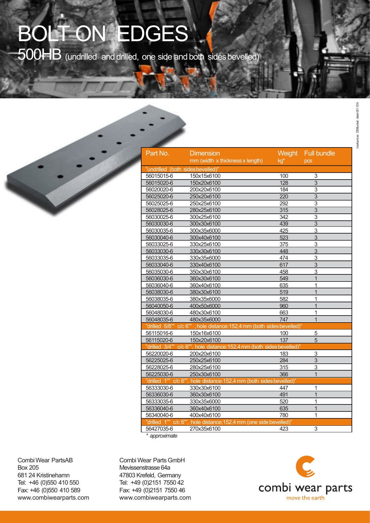# BOLT ON EDGES

500HB (undrilled and drilled, one side and both sides bevelled)

| Part No.                         | <b>Dimension</b>                                                       | Weight           | <b>Full bundle</b>        |  |
|----------------------------------|------------------------------------------------------------------------|------------------|---------------------------|--|
|                                  | mm (width x thickness x length)                                        | kg*              | pcs                       |  |
| "undrilled (both sidesbevelled)" |                                                                        |                  |                           |  |
| 56015015-6                       | 150x15x6100                                                            | 100              | 3                         |  |
| 56015020-6                       | 150x20x6100                                                            | 128              | $\overline{3}$            |  |
| 56020020-6                       | 200x20x6100                                                            | 184              | $\overline{\overline{3}}$ |  |
| 56025020-6                       | 250x20x6100                                                            | 220              | $\overline{3}$            |  |
| 56025025-6                       | 250x25x6100                                                            | 292              | $\overline{\overline{3}}$ |  |
| 56028025-6                       | 280x25x6100                                                            | 315              | $\overline{\overline{3}}$ |  |
| 56030025-6                       | 300x25x6100                                                            | $\overline{342}$ | $\overline{\overline{3}}$ |  |
| 56030030-6                       | 300x30x6100                                                            | 439              | $\overline{3}$            |  |
| 56030035-6                       | 300x35x6000                                                            | 425              | 3                         |  |
| 56030040-6                       | 300x40x6100                                                            | 523              | 3                         |  |
| 56033025-6                       | 330x25x6100                                                            | 375              | 3                         |  |
| 56033030-6                       | 330x30x6100                                                            | 448              | 3                         |  |
| 56033035-6                       | 330x35x6000                                                            | 474              | $\overline{3}$            |  |
| 56033040-6                       | 330x40x6100                                                            | 617              | 3                         |  |
| 56035030-6                       | 350x30x6100                                                            | 458              | 3                         |  |
| 56036030-6                       | 360x30x6100                                                            | 549              | $\overline{1}$            |  |
| 56036040-6                       | 360x40x6100                                                            | 635              | 1                         |  |
| 56038030-6                       | 380x30x6100                                                            | 519              | $\overline{1}$            |  |
| 56038035-6                       | 380x35x6000                                                            | 582              | 1                         |  |
| 56040050-6                       | 400x50x6000                                                            | 960              | $\overline{1}$            |  |
| 56048030-6                       | 480x30x6100                                                            | 663              | 1                         |  |
| 56048035-6                       | 480x35x6000                                                            | 747              | $\overline{1}$            |  |
|                                  | "drilled 5/8"" c/c 6"", hole distance: 152,4 mm (both sides bevelled)" |                  |                           |  |
| 56115016-6                       | 150x16x6100                                                            | 100              | 5                         |  |
| 56115020-6                       | 150x20x6100                                                            | 137              | 5                         |  |
|                                  | "drilled 3/4"" c/c 6"", hole distance: 152,4 mm (both sides bevelled)" |                  |                           |  |
| 56220020-6                       | 200x20x6100                                                            | 183              | 3                         |  |
| 56225025-6                       | 250x25x6100                                                            | 284              | 3                         |  |
| 56228025-6                       | 280x25x6100                                                            | 315              | 3                         |  |
| 56225030-6                       | 250x30x6100                                                            | 366              | $\overline{1}$            |  |
| "drilled 1"" c/c 6"",            | hole distance: 152,4 mm (both sides bevelled)"                         |                  |                           |  |
| 56333030-6                       | 330x30x6100                                                            | 447              | 1                         |  |
| 56336030-6                       | 360x30x6100                                                            | 491              | $\overline{1}$            |  |
| 56333035-6                       | 330x35x6000                                                            | 520              | $\overline{1}$            |  |
| 56336040-6                       | 360x40x6100                                                            | 635              | 1                         |  |
| 56340040-6                       | 400x40x6100                                                            | 780              | 1                         |  |
| "drilled 1"" c/c 6"",            | hole distance: 152,4 mm (one side bevelled)"                           |                  |                           |  |
| 56427035-6                       | 270x35x6100                                                            | 423              | $\overline{\overline{3}}$ |  |
| * approximate                    |                                                                        |                  |                           |  |

*\* approximate*

CombiWear PartsAB Box 205 681 24 Kristinehamn Tel: +46 (0)550 410 550 Fax: +46 (0)550 410 589 www.combiwearparts.com

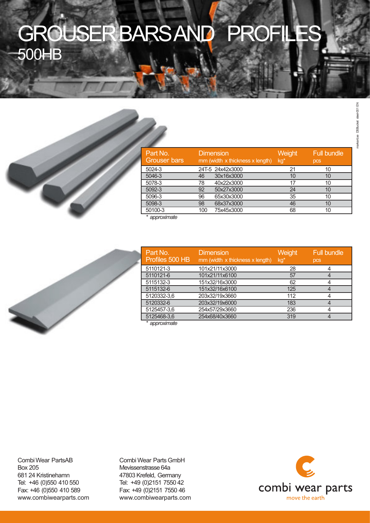# GROUSERBARSAND PROFILES 500HB



| Part No.<br><b>Grouser bars</b> |     | <b>Dimension</b><br>mm (width x thickness x length) | Weight<br>kg* | <b>Full bundle</b><br>pcs |
|---------------------------------|-----|-----------------------------------------------------|---------------|---------------------------|
| 5024-3                          |     | 24T-5 24x42x3000                                    | 21            | 10                        |
| 5046-3                          | 46  | 30x16x3000                                          | 10            | 10                        |
| 5078-3                          | 78  | 40x22x3000                                          | 17            | 10                        |
| 5092-3                          | 92  | 50x27x3000                                          | 24            | 10                        |
| 5096-3                          | 96  | 65x30x3000                                          | 35            | 10                        |
| 5098-3                          | 98  | 68x37x3000                                          | 46            | 10                        |
| 50100-3                         | 100 | 75x45x3000                                          | 68            | 10                        |
| 4 <b>.</b> 1 .                  |     |                                                     |               |                           |

*\* approximate*



| Part No.<br>Profiles 500 HB | <b>Dimension</b><br>mm (width x thickness x length) | Weight<br>kg* | <b>Full bundle</b><br>pcs |
|-----------------------------|-----------------------------------------------------|---------------|---------------------------|
| 5110121-3                   | 101x21/11x3000                                      | 28            |                           |
| 5110121-6                   | 101x21/11x6100                                      | 57            |                           |
| 5115132-3                   | 151x32/16x3000                                      | 62            |                           |
| 5115132-6                   | 151x32/16x6100                                      | 125           |                           |
| 5120332-3,6                 | 203x32/19x3660                                      | 112           |                           |
| 5120332-6                   | 203x32/19x6000                                      | 183           |                           |
| 5125457-3.6                 | 254x57/29x3660                                      | 236           |                           |
| 5125468-3,6                 | 254x68/40x3660                                      | 319           |                           |
| * annroximate               |                                                     |               |                           |

*\* approximate*

CombiWear PartsAB Box 205 681 24 Kristinehamn Tel: +46 (0)550 410 550 Fax: +46 (0)550 410 589 www.combiwearparts.com

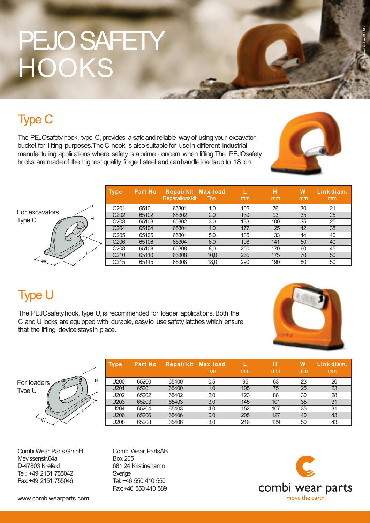# PEJO SAFETY **HOOKS**

## Type C

The PEJOsafety hook, type C, provides a safeand reliable way of using your excavator bucket for lifting purposes.TheC hook is also suitable for usein different industrial manufacturing applications where safety is aprime concern when lifting.The PEJOsafety hooks are madeof the highest quality forged steel and canhandle loadsup to 18 ton.



markant.se PA-001 ENG

|                | <b>Type</b>      | <b>Part No</b> | <b>Repairkit Max load</b><br><b>Reparationskit</b> | Ton  | mm  | н<br>mm | W<br>mm | Link diam.<br>mm |
|----------------|------------------|----------------|----------------------------------------------------|------|-----|---------|---------|------------------|
|                | C <sub>201</sub> | 65101          | 65301                                              | 1,0  | 105 | 76      | 30      | 21               |
| For excavators | C <sub>202</sub> | 65102          | 65302                                              | 2,0  | 130 | 93      | 35      | 25               |
| Type C<br>H    | C <sub>203</sub> | 65103          | 65302                                              | 3,0  | 133 | 100     | 35      | 25               |
|                | C <sub>204</sub> | 65104          | 65304                                              | 4,0  | 177 | 125     | 42      | 38               |
|                | C <sub>205</sub> | 65105          | 65304                                              | 5,0  | 185 | 133     | 44      | 40               |
|                | C <sub>206</sub> | 65106          | 65304                                              | 6,0  | 198 | 141     | 50      | 40               |
|                | C <sub>208</sub> | 65108          | 65308                                              | 8,0  | 250 | 170     | 60      | 45               |
|                | C <sub>210</sub> | 65110          | 65308                                              | 10,0 | 255 | 175     | 70      | 50               |
| $-W$           | C215             | 65115          | 65308                                              | 18,0 | 290 | 190     | 80      | 50               |

## Type U

The PEJOsafetyhook, type U, is recommended for loader applications.Both the C and U locks are equipped with durable, easyto usesafety latches which ensure that the lifting device staysin place.





| <b>Type</b> | 'Part No. | <b>Repairkit Max load</b> | Ton | mm  | н<br>mm | W<br>mm | Link diam.<br>mm |
|-------------|-----------|---------------------------|-----|-----|---------|---------|------------------|
| U200        | 65200     | 65400                     | 0,5 | 95  | 63      | 23      | 20               |
| U201        | 65201     | 65400                     | 1,0 | 105 | 75      | 25      | 23               |
| U202        | 65202     | 65402                     | 2,0 | 123 | 86      | 30      | 28               |
| U203        | 65203     | 65403                     | 3,0 | 145 | 101     | 35      | 31               |
| U204        | 65204     | 65403                     | 4,0 | 152 | 107     | 35      | 31               |
| U206        | 65206     | 65406                     | 6,0 | 205 | 127     | 40      | 43               |
| U208        | 65208     | 65406                     | 8,0 | 216 | 139     | 50      | 43               |
|             |           |                           |     |     |         |         |                  |

Combi Wear Parts GmbH Mevissenstr.64a D-47803 Krefeld Tel.: +49 2151 755042 Fax:+49 2151 755046

CombiWear PartsAB Box 205 681 24 Kristinehamn Sverige Tel: +46 550 410 550 Fax:+46 550 410 589